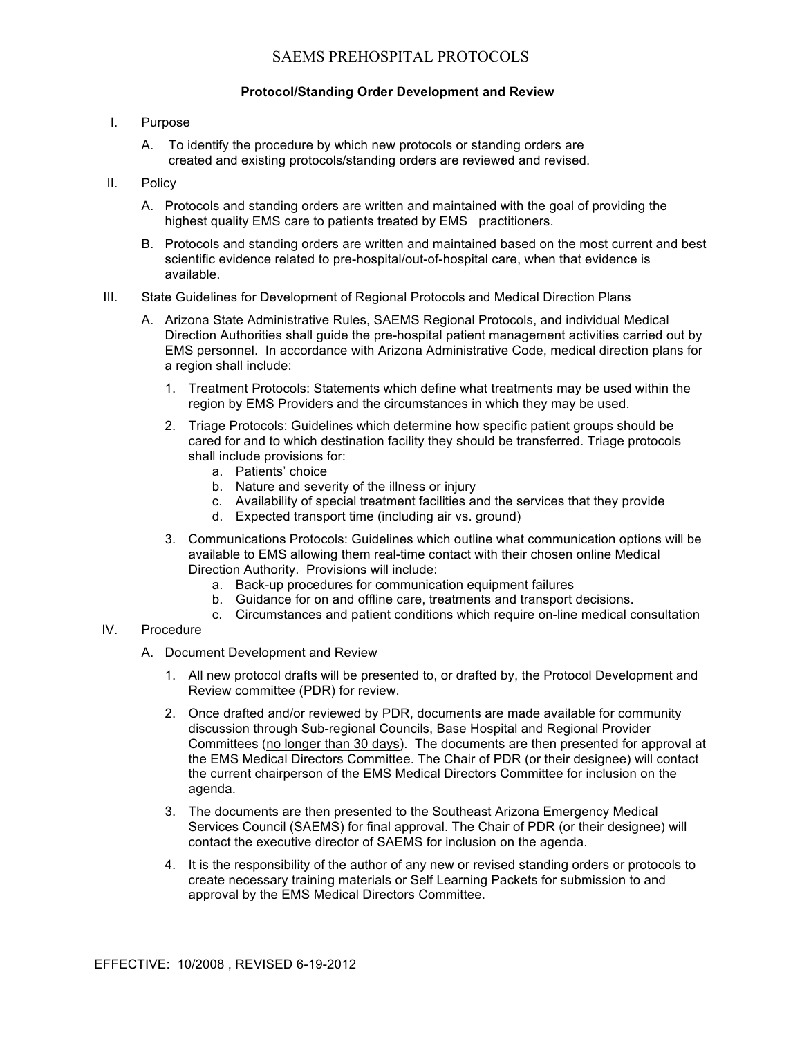# SAEMS PREHOSPITAL PROTOCOLS

#### **Protocol/Standing Order Development and Review**

- I. Purpose
	- A. To identify the procedure by which new protocols or standing orders are created and existing protocols/standing orders are reviewed and revised.

#### II. Policy

- A. Protocols and standing orders are written and maintained with the goal of providing the highest quality EMS care to patients treated by EMS practitioners.
- B. Protocols and standing orders are written and maintained based on the most current and best scientific evidence related to pre-hospital/out-of-hospital care, when that evidence is available.
- III. State Guidelines for Development of Regional Protocols and Medical Direction Plans
	- A. Arizona State Administrative Rules, SAEMS Regional Protocols, and individual Medical Direction Authorities shall guide the pre-hospital patient management activities carried out by EMS personnel. In accordance with Arizona Administrative Code, medical direction plans for a region shall include:
		- 1. Treatment Protocols: Statements which define what treatments may be used within the region by EMS Providers and the circumstances in which they may be used.
		- 2. Triage Protocols: Guidelines which determine how specific patient groups should be cared for and to which destination facility they should be transferred. Triage protocols shall include provisions for:
			- a. Patients' choice
			- b. Nature and severity of the illness or injury
			- c. Availability of special treatment facilities and the services that they provide
			- d. Expected transport time (including air vs. ground)
		- 3. Communications Protocols: Guidelines which outline what communication options will be available to EMS allowing them real-time contact with their chosen online Medical Direction Authority. Provisions will include:
			- a. Back-up procedures for communication equipment failures
			- b. Guidance for on and offline care, treatments and transport decisions.
			- c. Circumstances and patient conditions which require on-line medical consultation

### IV. Procedure

- A. Document Development and Review
	- 1. All new protocol drafts will be presented to, or drafted by, the Protocol Development and Review committee (PDR) for review.
	- 2. Once drafted and/or reviewed by PDR, documents are made available for community discussion through Sub-regional Councils, Base Hospital and Regional Provider Committees (no longer than 30 days). The documents are then presented for approval at the EMS Medical Directors Committee. The Chair of PDR (or their designee) will contact the current chairperson of the EMS Medical Directors Committee for inclusion on the agenda.
	- 3. The documents are then presented to the Southeast Arizona Emergency Medical Services Council (SAEMS) for final approval. The Chair of PDR (or their designee) will contact the executive director of SAEMS for inclusion on the agenda.
	- 4. It is the responsibility of the author of any new or revised standing orders or protocols to create necessary training materials or Self Learning Packets for submission to and approval by the EMS Medical Directors Committee.